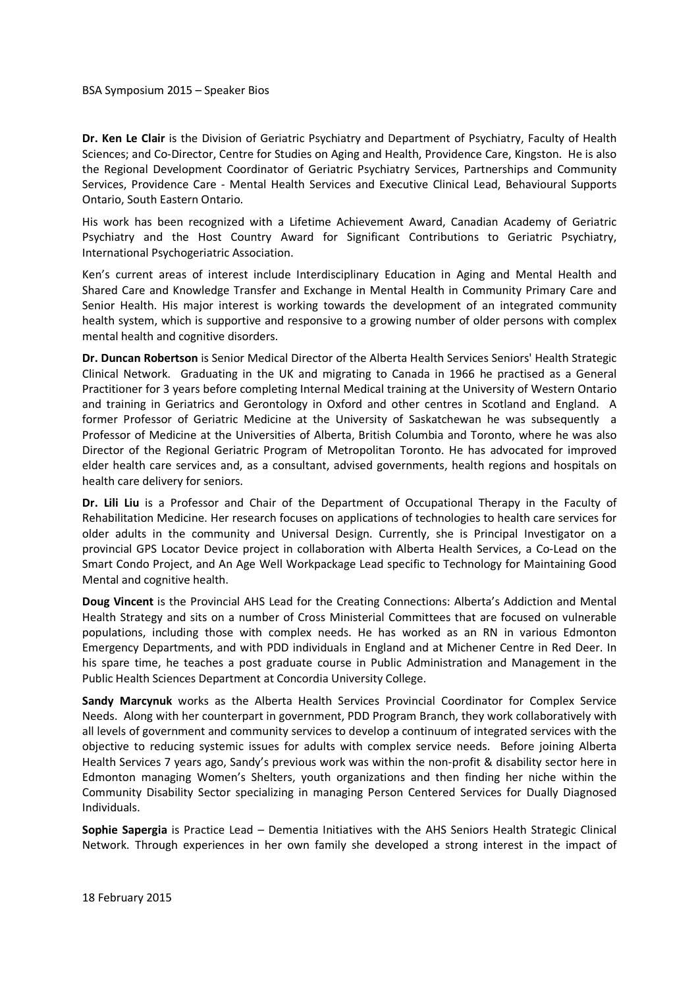## BSA Symposium 2015 – Speaker Bios

**Dr. Ken Le Clair** is the Division of Geriatric Psychiatry and Department of Psychiatry, Faculty of Health Sciences; and Co-Director, Centre for Studies on Aging and Health, Providence Care, Kingston. He is also the Regional Development Coordinator of Geriatric Psychiatry Services, Partnerships and Community Services, Providence Care - Mental Health Services and Executive Clinical Lead, Behavioural Supports Ontario, South Eastern Ontario.

His work has been recognized with a Lifetime Achievement Award, Canadian Academy of Geriatric Psychiatry and the Host Country Award for Significant Contributions to Geriatric Psychiatry, International Psychogeriatric Association.

Ken's current areas of interest include Interdisciplinary Education in Aging and Mental Health and Shared Care and Knowledge Transfer and Exchange in Mental Health in Community Primary Care and Senior Health. His major interest is working towards the development of an integrated community health system, which is supportive and responsive to a growing number of older persons with complex mental health and cognitive disorders.

**Dr. Duncan Robertson** is Senior Medical Director of the Alberta Health Services Seniors' Health Strategic Clinical Network. Graduating in the UK and migrating to Canada in 1966 he practised as a General Practitioner for 3 years before completing Internal Medical training at the University of Western Ontario and training in Geriatrics and Gerontology in Oxford and other centres in Scotland and England. A former Professor of Geriatric Medicine at the University of Saskatchewan he was subsequently a Professor of Medicine at the Universities of Alberta, British Columbia and Toronto, where he was also Director of the Regional Geriatric Program of Metropolitan Toronto. He has advocated for improved elder health care services and, as a consultant, advised governments, health regions and hospitals on health care delivery for seniors.

**Dr. Lili Liu** is a Professor and Chair of the Department of Occupational Therapy in the Faculty of Rehabilitation Medicine. Her research focuses on applications of technologies to health care services for older adults in the community and Universal Design. Currently, she is Principal Investigator on a provincial GPS Locator Device project in collaboration with Alberta Health Services, a Co-Lead on the Smart Condo Project, and An Age Well Workpackage Lead specific to Technology for Maintaining Good Mental and cognitive health.

**Doug Vincent** is the Provincial AHS Lead for the Creating Connections: Alberta's Addiction and Mental Health Strategy and sits on a number of Cross Ministerial Committees that are focused on vulnerable populations, including those with complex needs. He has worked as an RN in various Edmonton Emergency Departments, and with PDD individuals in England and at Michener Centre in Red Deer. In his spare time, he teaches a post graduate course in Public Administration and Management in the Public Health Sciences Department at Concordia University College.

**Sandy Marcynuk** works as the Alberta Health Services Provincial Coordinator for Complex Service Needs. Along with her counterpart in government, PDD Program Branch, they work collaboratively with all levels of government and community services to develop a continuum of integrated services with the objective to reducing systemic issues for adults with complex service needs. Before joining Alberta Health Services 7 years ago, Sandy's previous work was within the non-profit & disability sector here in Edmonton managing Women's Shelters, youth organizations and then finding her niche within the Community Disability Sector specializing in managing Person Centered Services for Dually Diagnosed Individuals.

**Sophie Sapergia** is Practice Lead – Dementia Initiatives with the AHS Seniors Health Strategic Clinical Network. Through experiences in her own family she developed a strong interest in the impact of